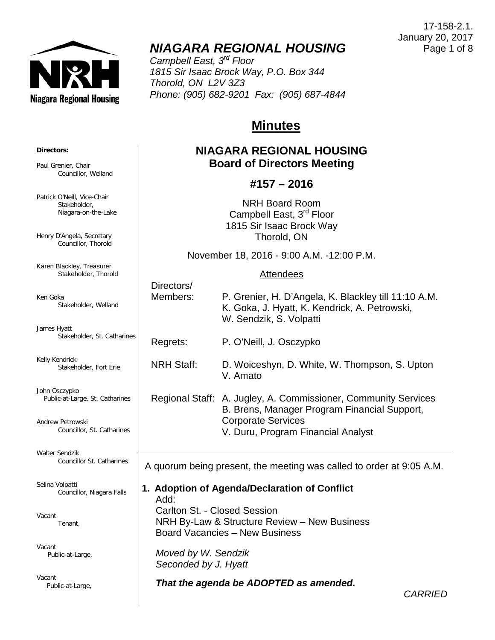

# *NIAGARA REGIONAL HOUSING*

*Campbell East, 3rd Floor 1815 Sir Isaac Brock Way, P.O. Box 344 Thorold, ON L2V 3Z3 Phone: (905) 682-9201 Fax: (905) 687-4844*

## **Minutes**

## **NIAGARA REGIONAL HOUSING Board of Directors Meeting**

## **#157 – 2016**

NRH Board Room Campbell East, 3<sup>rd</sup> Floor 1815 Sir Isaac Brock Way Thorold, ON

November 18, 2016 - 9:00 A.M. -12:00 P.M.

## Attendees

| Directors/<br>Members:                                               | P. Grenier, H. D'Angela, K. Blackley till 11:10 A.M.<br>K. Goka, J. Hyatt, K. Kendrick, A. Petrowski,<br>W. Sendzik, S. Volpatti                                                  |  |
|----------------------------------------------------------------------|-----------------------------------------------------------------------------------------------------------------------------------------------------------------------------------|--|
| Regrets:                                                             | P. O'Neill, J. Osczypko                                                                                                                                                           |  |
| <b>NRH Staff:</b>                                                    | D. Woiceshyn, D. White, W. Thompson, S. Upton<br>V. Amato                                                                                                                         |  |
|                                                                      | Regional Staff: A. Jugley, A. Commissioner, Community Services<br>B. Brens, Manager Program Financial Support,<br><b>Corporate Services</b><br>V. Duru, Program Financial Analyst |  |
| A quorum being present, the meeting was called to order at 9:05 A.M. |                                                                                                                                                                                   |  |

**1. Adoption of Agenda/Declaration of Conflict** Add: Carlton St. - Closed Session NRH By-Law & Structure Review – New Business Board Vacancies – New Business

 *Moved by W. Sendzik Seconded by J. Hyatt*

 $D$ irectors/

*That the agenda be ADOPTED as amended.*

**Directors:**

Paul Grenier, Chair Councillor, Welland

Patrick O'Neill, Vice-Chair Stakeholder, Niagara-on-the-Lake

Henry D'Angela, Secretary Councillor, Thorold

Karen Blackley, Treasurer Stakeholder, Thorold

Ken Goka Stakeholder, Welland

James Hyatt Stakeholder, St. Catharines

Kelly Kendrick Stakeholder, Fort Erie

John Osczypko Public-at-Large, St. Catharines

Andrew Petrowski Councillor, St. Catharines

Walter Sendzik Councillor St. Catharines

Selina Volpatti Councillor, Niagara Falls

Vacant Tenant,

Vacant Public-at-Large,

Vacant Public-at-Large,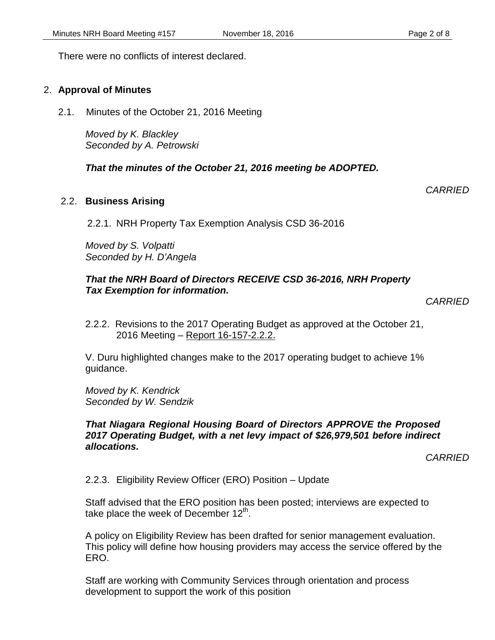There were no conflicts of interest declared.

## 2. **Approval of Minutes**

2.1. Minutes of the October 21, 2016 Meeting

*Moved by K. Blackley Seconded by A. Petrowski*

## *That the minutes of the October 21, 2016 meeting be ADOPTED.*

## 2.2. **Business Arising**

2.2.1. NRH Property Tax Exemption Analysis CSD 36-2016

*Moved by S. Volpatti Seconded by H. D'Angela*

## *That the NRH Board of Directors RECEIVE CSD 36-2016, NRH Property Tax Exemption for information.*

2.2.2. Revisions to the 2017 Operating Budget as approved at the October 21, 2016 Meeting – Report 16-157-2.2.2.

V. Duru highlighted changes make to the 2017 operating budget to achieve 1% guidance.

*Moved by K. Kendrick Seconded by W. Sendzik*

#### *That Niagara Regional Housing Board of Directors APPROVE the Proposed 2017 Operating Budget, with a net levy impact of \$26,979,501 before indirect allocations.*

*CARRIED*

2.2.3. Eligibility Review Officer (ERO) Position – Update

Staff advised that the ERO position has been posted; interviews are expected to take place the week of December  $12<sup>th</sup>$ .

A policy on Eligibility Review has been drafted for senior management evaluation. This policy will define how housing providers may access the service offered by the ERO.

Staff are working with Community Services through orientation and process development to support the work of this position

*CARRIED*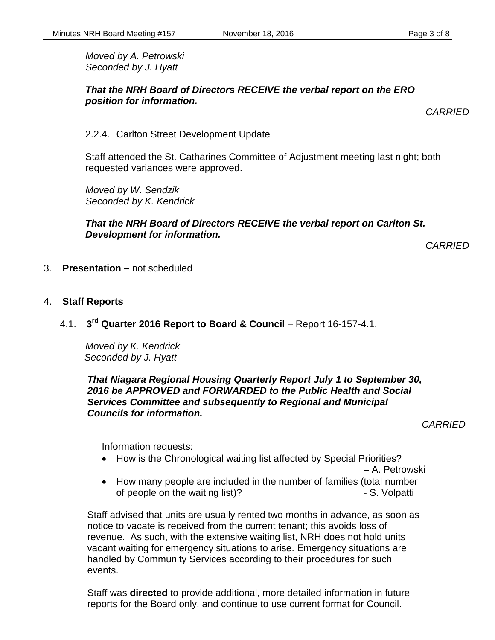*Moved by A. Petrowski Seconded by J. Hyatt*

#### *That the NRH Board of Directors RECEIVE the verbal report on the ERO position for information.*

*CARRIED*

2.2.4. Carlton Street Development Update

Staff attended the St. Catharines Committee of Adjustment meeting last night; both requested variances were approved.

*Moved by W. Sendzik Seconded by K. Kendrick*

## *That the NRH Board of Directors RECEIVE the verbal report on Carlton St. Development for information.*

*CARRIED*

- 3. **Presentation –** not scheduled
- 4. **Staff Reports**
	- 4.1. **3rd Quarter 2016 Report to Board & Council** Report 16-157-4.1.

*Moved by K. Kendrick Seconded by J. Hyatt*

*That Niagara Regional Housing Quarterly Report July 1 to September 30, 2016 be APPROVED and FORWARDED to the Public Health and Social Services Committee and subsequently to Regional and Municipal Councils for information.*

*CARRIED*

Information requests:

• How is the Chronological waiting list affected by Special Priorities?

– A. Petrowski

• How many people are included in the number of families (total number of people on the waiting list)? The state of people on the waiting list)?

Staff advised that units are usually rented two months in advance, as soon as notice to vacate is received from the current tenant; this avoids loss of revenue. As such, with the extensive waiting list, NRH does not hold units vacant waiting for emergency situations to arise. Emergency situations are handled by Community Services according to their procedures for such events.

Staff was **directed** to provide additional, more detailed information in future reports for the Board only, and continue to use current format for Council.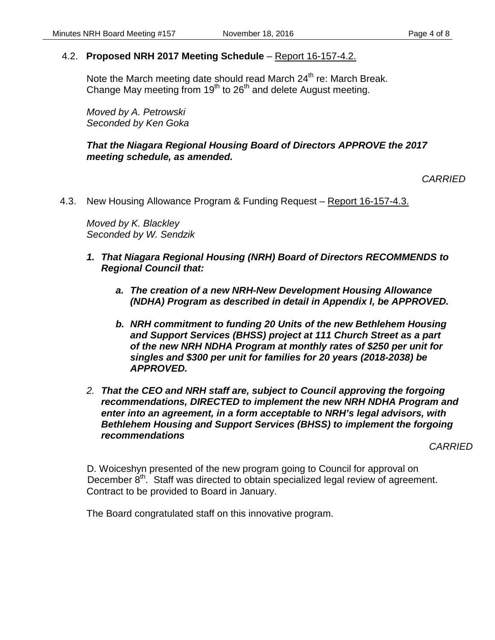## 4.2. **Proposed NRH 2017 Meeting Schedule** – Report 16-157-4.2.

Note the March meeting date should read March 24<sup>th</sup> re: March Break. Change May meeting from  $19<sup>th</sup>$  to 26<sup>th</sup> and delete August meeting.

*Moved by A. Petrowski Seconded by Ken Goka*

*That the Niagara Regional Housing Board of Directors APPROVE the 2017 meeting schedule, as amended.* 

*CARRIED*

4.3. New Housing Allowance Program & Funding Request – Report 16-157-4.3.

*Moved by K. Blackley Seconded by W. Sendzik*

- *1. That Niagara Regional Housing (NRH) Board of Directors RECOMMENDS to Regional Council that:*
	- *a. The creation of a new NRH-New Development Housing Allowance (NDHA) Program as described in detail in Appendix I, be APPROVED.*
	- *b. NRH commitment to funding 20 Units of the new Bethlehem Housing and Support Services (BHSS) project at 111 Church Street as a part of the new NRH NDHA Program at monthly rates of \$250 per unit for singles and \$300 per unit for families for 20 years (2018-2038) be APPROVED.*
- *2. That the CEO and NRH staff are, subject to Council approving the forgoing recommendations, DIRECTED to implement the new NRH NDHA Program and enter into an agreement, in a form acceptable to NRH's legal advisors, with Bethlehem Housing and Support Services (BHSS) to implement the forgoing recommendations*

*CARRIED*

D. Woiceshyn presented of the new program going to Council for approval on December  $8<sup>th</sup>$ . Staff was directed to obtain specialized legal review of agreement. Contract to be provided to Board in January.

The Board congratulated staff on this innovative program.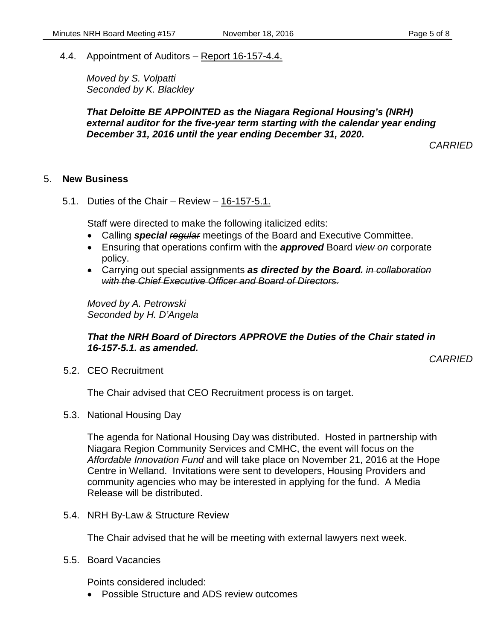4.4. Appointment of Auditors – Report 16-157-4.4.

*Moved by S. Volpatti Seconded by K. Blackley*

*That Deloitte BE APPOINTED as the Niagara Regional Housing's (NRH) external auditor for the five-year term starting with the calendar year ending December 31, 2016 until the year ending December 31, 2020.* 

*CARRIED*

#### 5. **New Business**

5.1. Duties of the Chair – Review – 16-157-5.1.

Staff were directed to make the following italicized edits:

- Calling *special regular* meetings of the Board and Executive Committee.
- Ensuring that operations confirm with the *approved* Board *view on* corporate policy.
- Carrying out special assignments *as directed by the Board. in collaboration with the Chief Executive Officer and Board of Directors.*

*Moved by A. Petrowski Seconded by H. D'Angela*

## *That the NRH Board of Directors APPROVE the Duties of the Chair stated in 16-157-5.1. as amended.*

*CARRIED*

5.2. CEO Recruitment

The Chair advised that CEO Recruitment process is on target.

5.3. National Housing Day

The agenda for National Housing Day was distributed. Hosted in partnership with Niagara Region Community Services and CMHC, the event will focus on the *Affordable Innovation Fund* and will take place on November 21, 2016 at the Hope Centre in Welland. Invitations were sent to developers, Housing Providers and community agencies who may be interested in applying for the fund. A Media Release will be distributed.

5.4. NRH By-Law & Structure Review

The Chair advised that he will be meeting with external lawyers next week.

5.5. Board Vacancies

Points considered included:

• Possible Structure and ADS review outcomes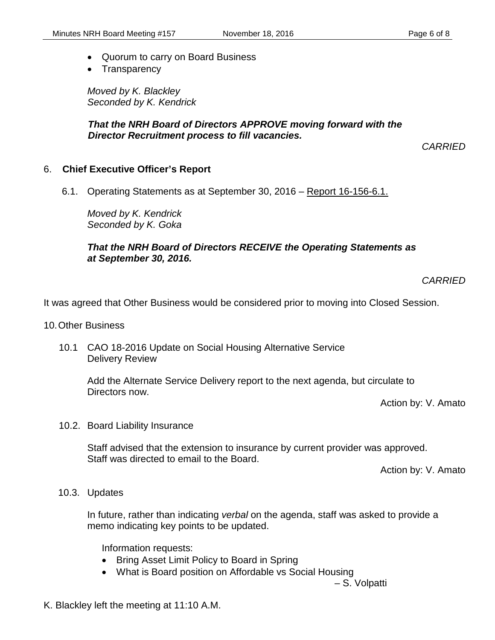- Quorum to carry on Board Business
- Transparency

*Moved by K. Blackley Seconded by K. Kendrick*

*That the NRH Board of Directors APPROVE moving forward with the Director Recruitment process to fill vacancies.*

*CARRIED*

#### 6. **Chief Executive Officer's Report**

6.1. Operating Statements as at September 30, 2016 – Report 16-156-6.1.

*Moved by K. Kendrick Seconded by K. Goka*

## *That the NRH Board of Directors RECEIVE the Operating Statements as at September 30, 2016.*

*CARRIED*

It was agreed that Other Business would be considered prior to moving into Closed Session.

- 10.Other Business
	- 10.1 CAO 18-2016 Update on Social Housing Alternative Service Delivery Review

Add the Alternate Service Delivery report to the next agenda, but circulate to Directors now.

Action by: V. Amato

10.2. Board Liability Insurance

Staff advised that the extension to insurance by current provider was approved. Staff was directed to email to the Board.

Action by: V. Amato

#### 10.3. Updates

In future, rather than indicating *verbal* on the agenda, staff was asked to provide a memo indicating key points to be updated.

Information requests:

- Bring Asset Limit Policy to Board in Spring
- What is Board position on Affordable vs Social Housing

– S. Volpatti

K. Blackley left the meeting at 11:10 A.M.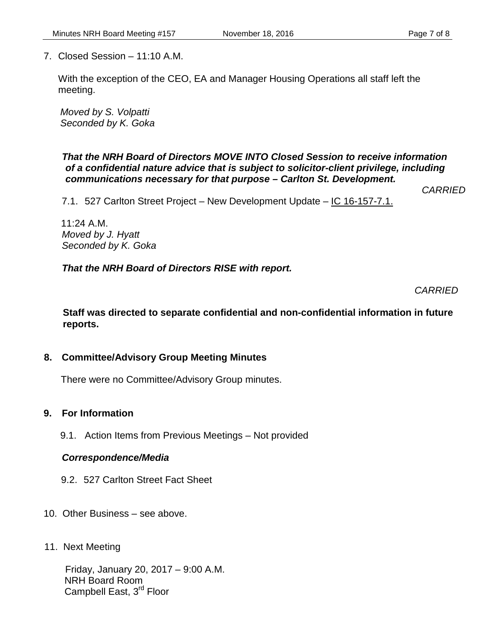7. Closed Session – 11:10 A.M.

With the exception of the CEO, EA and Manager Housing Operations all staff left the meeting.

*Moved by S. Volpatti Seconded by K. Goka*

*That the NRH Board of Directors MOVE INTO Closed Session to receive information of a confidential nature advice that is subject to solicitor-client privilege, including communications necessary for that purpose – Carlton St. Development.*

*CARRIED*

7.1. 527 Carlton Street Project – New Development Update – IC 16-157-7.1.

11:24 A.M. *Moved by J. Hyatt Seconded by K. Goka*

*That the NRH Board of Directors RISE with report.*

*CARRIED*

**Staff was directed to separate confidential and non-confidential information in future reports.**

## **8. Committee/Advisory Group Meeting Minutes**

There were no Committee/Advisory Group minutes.

## **9. For Information**

9.1. Action Items from Previous Meetings – Not provided

## *Correspondence/Media*

- 9.2. 527 Carlton Street Fact Sheet
- 10. Other Business see above.
- 11. Next Meeting

 Friday, January 20, 2017 – 9:00 A.M. NRH Board Room Campbell East, 3<sup>rd</sup> Floor